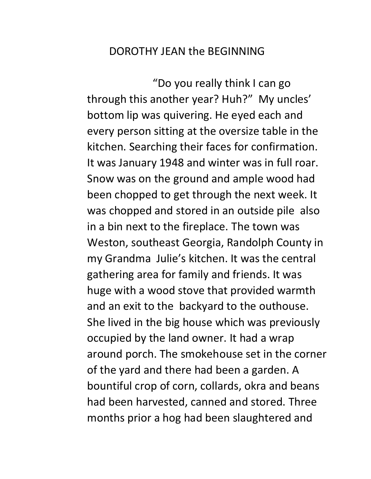## DOROTHY JEAN the BEGINNING

"Do you really think I can go through this another year? Huh?" My uncles' bottom lip was quivering. He eyed each and every person sitting at the oversize table in the kitchen. Searching their faces for confirmation. It was January 1948 and winter was in full roar. Snow was on the ground and ample wood had been chopped to get through the next week. It was chopped and stored in an outside pile also in a bin next to the fireplace. The town was Weston, southeast Georgia, Randolph County in my Grandma Julie's kitchen. It was the central gathering area for family and friends. It was huge with a wood stove that provided warmth and an exit to the backyard to the outhouse. She lived in the big house which was previously occupied by the land owner. It had a wrap around porch. The smokehouse set in the corner of the yard and there had been a garden. A bountiful crop of corn, collards, okra and beans had been harvested, canned and stored. Three months prior a hog had been slaughtered and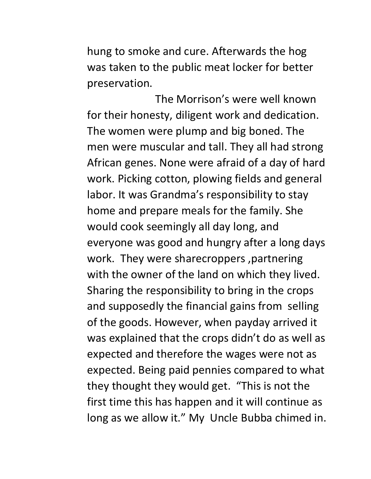hung to smoke and cure. Afterwards the hog was taken to the public meat locker for better preservation.

The Morrison's were well known for their honesty, diligent work and dedication. The women were plump and big boned. The men were muscular and tall. They all had strong African genes. None were afraid of a day of hard work. Picking cotton, plowing fields and general labor. It was Grandma's responsibility to stay home and prepare meals for the family. She would cook seemingly all day long, and everyone was good and hungry after a long days work. They were sharecroppers ,partnering with the owner of the land on which they lived. Sharing the responsibility to bring in the crops and supposedly the financial gains from selling of the goods. However, when payday arrived it was explained that the crops didn't do as well as expected and therefore the wages were not as expected. Being paid pennies compared to what they thought they would get. "This is not the first time this has happen and it will continue as long as we allow it." My Uncle Bubba chimed in.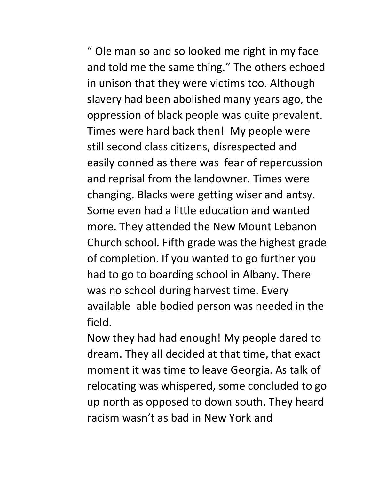" Ole man so and so looked me right in my face and told me the same thing." The others echoed in unison that they were victims too. Although slavery had been abolished many years ago, the oppression of black people was quite prevalent. Times were hard back then! My people were still second class citizens, disrespected and easily conned as there was fear of repercussion and reprisal from the landowner. Times were changing. Blacks were getting wiser and antsy. Some even had a little education and wanted more. They attended the New Mount Lebanon Church school. Fifth grade was the highest grade of completion. If you wanted to go further you had to go to boarding school in Albany. There was no school during harvest time. Every available able bodied person was needed in the field.

Now they had had enough! My people dared to dream. They all decided at that time, that exact moment it was time to leave Georgia. As talk of relocating was whispered, some concluded to go up north as opposed to down south. They heard racism wasn't as bad in New York and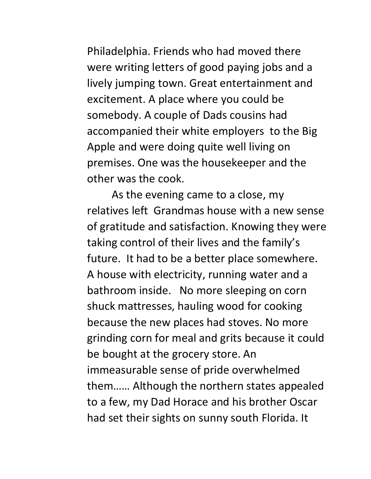Philadelphia. Friends who had moved there were writing letters of good paying jobs and a lively jumping town. Great entertainment and excitement. A place where you could be somebody. A couple of Dads cousins had accompanied their white employers to the Big Apple and were doing quite well living on premises. One was the housekeeper and the other was the cook.

As the evening came to a close, my relatives left Grandmas house with a new sense of gratitude and satisfaction. Knowing they were taking control of their lives and the family's future. It had to be a better place somewhere. A house with electricity, running water and a bathroom inside. No more sleeping on corn shuck mattresses, hauling wood for cooking because the new places had stoves. No more grinding corn for meal and grits because it could be bought at the grocery store. An immeasurable sense of pride overwhelmed them…… Although the northern states appealed to a few, my Dad Horace and his brother Oscar had set their sights on sunny south Florida. It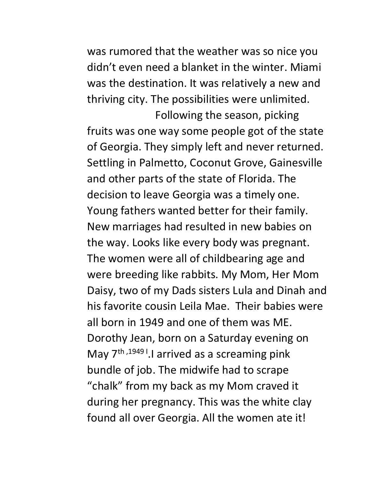was rumored that the weather was so nice you didn't even need a blanket in the winter. Miami was the destination. It was relatively a new and thriving city. The possibilities were unlimited.

Following the season, picking fruits was one way some people got of the state of Georgia. They simply left and never returned. Settling in Palmetto, Coconut Grove, Gainesville and other parts of the state of Florida. The decision to leave Georgia was a timely one. Young fathers wanted better for their family. New marriages had resulted in new babies on the way. Looks like every body was pregnant. The women were all of childbearing age and were breeding like rabbits. My Mom, Her Mom Daisy, two of my Dads sisters Lula and Dinah and his favorite cousin Leila Mae. Their babies were all born in 1949 and one of them was ME. Dorothy Jean, born on a Saturday evening on May 7<sup>th, 1949</sup><sup>1</sup>.I arrived as a screaming pink bundle of job. The midwife had to scrape "chalk" from my back as my Mom craved it during her pregnancy. This was the white clay found all over Georgia. All the women ate it!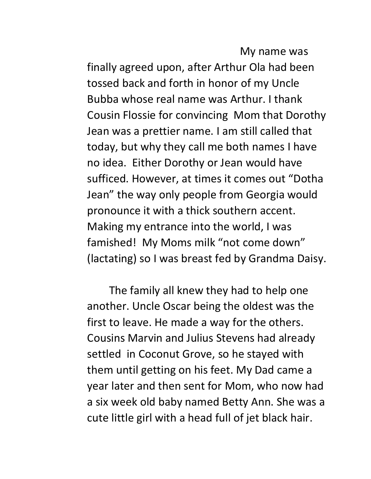My name was finally agreed upon, after Arthur Ola had been tossed back and forth in honor of my Uncle Bubba whose real name was Arthur. I thank Cousin Flossie for convincing Mom that Dorothy Jean was a prettier name. I am still called that today, but why they call me both names I have no idea. Either Dorothy or Jean would have sufficed. However, at times it comes out "Dotha Jean" the way only people from Georgia would pronounce it with a thick southern accent. Making my entrance into the world, I was famished! My Moms milk "not come down" (lactating) so I was breast fed by Grandma Daisy.

The family all knew they had to help one another. Uncle Oscar being the oldest was the first to leave. He made a way for the others. Cousins Marvin and Julius Stevens had already settled in Coconut Grove, so he stayed with them until getting on his feet. My Dad came a year later and then sent for Mom, who now had a six week old baby named Betty Ann. She was a cute little girl with a head full of jet black hair.